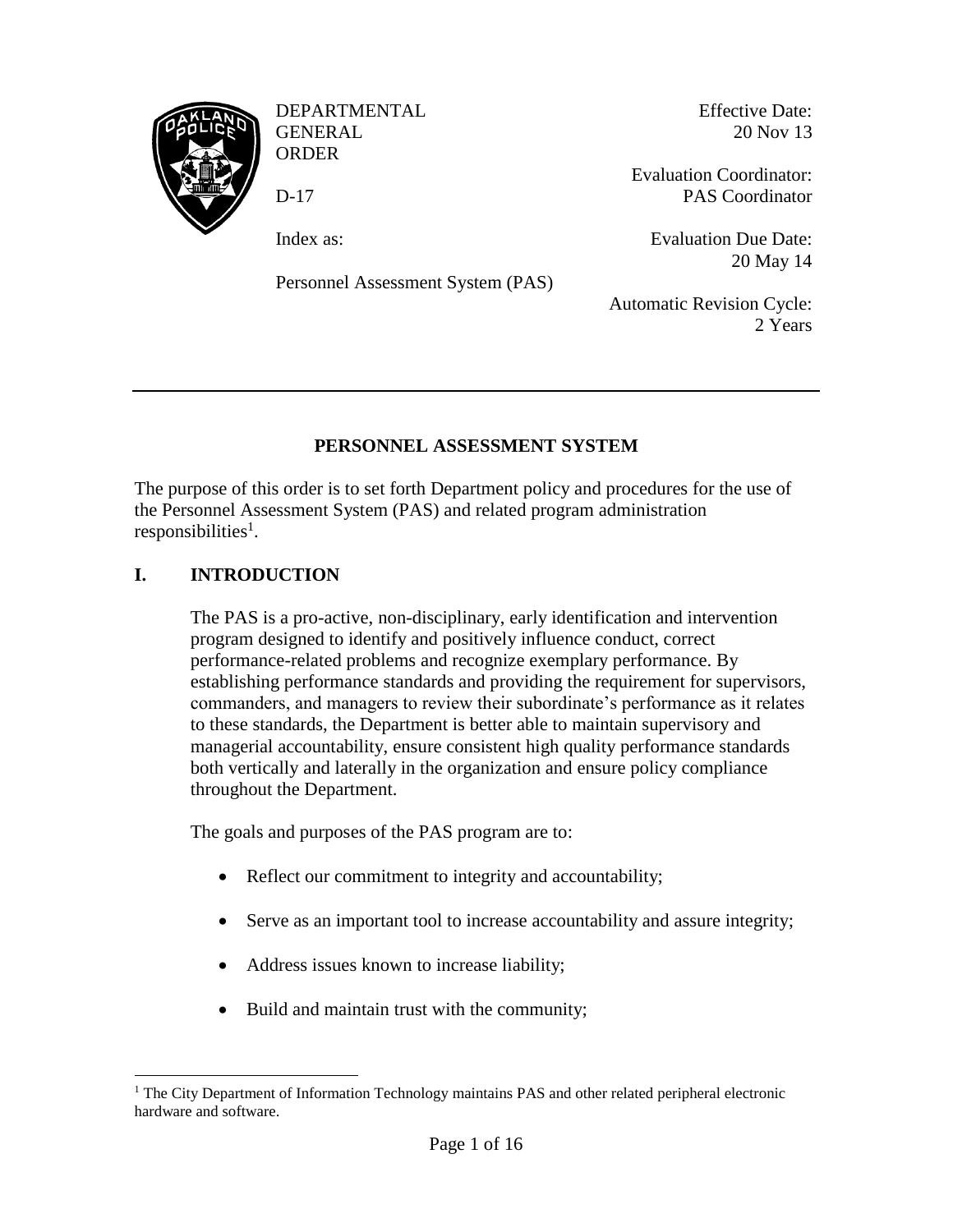

DEPARTMENTAL GENERAL **ORDER** 

D-17

Index as:

Personnel Assessment System (PAS)

Effective Date: 20 Nov 13

Evaluation Coordinator: PAS Coordinator

Evaluation Due Date: 20 May 14

Automatic Revision Cycle: 2 Years

# **PERSONNEL ASSESSMENT SYSTEM**

The purpose of this order is to set forth Department policy and procedures for the use of the Personnel Assessment System (PAS) and related program administration responsibilities<sup>1</sup>.

# **I. INTRODUCTION**

The PAS is a pro-active, non-disciplinary, early identification and intervention program designed to identify and positively influence conduct, correct performance-related problems and recognize exemplary performance. By establishing performance standards and providing the requirement for supervisors, commanders, and managers to review their subordinate's performance as it relates to these standards, the Department is better able to maintain supervisory and managerial accountability, ensure consistent high quality performance standards both vertically and laterally in the organization and ensure policy compliance throughout the Department.

The goals and purposes of the PAS program are to:

- Reflect our commitment to integrity and accountability;
- Serve as an important tool to increase accountability and assure integrity;
- Address issues known to increase liability;
- Build and maintain trust with the community;

 $\overline{a}$ <sup>1</sup> The City Department of Information Technology maintains PAS and other related peripheral electronic hardware and software.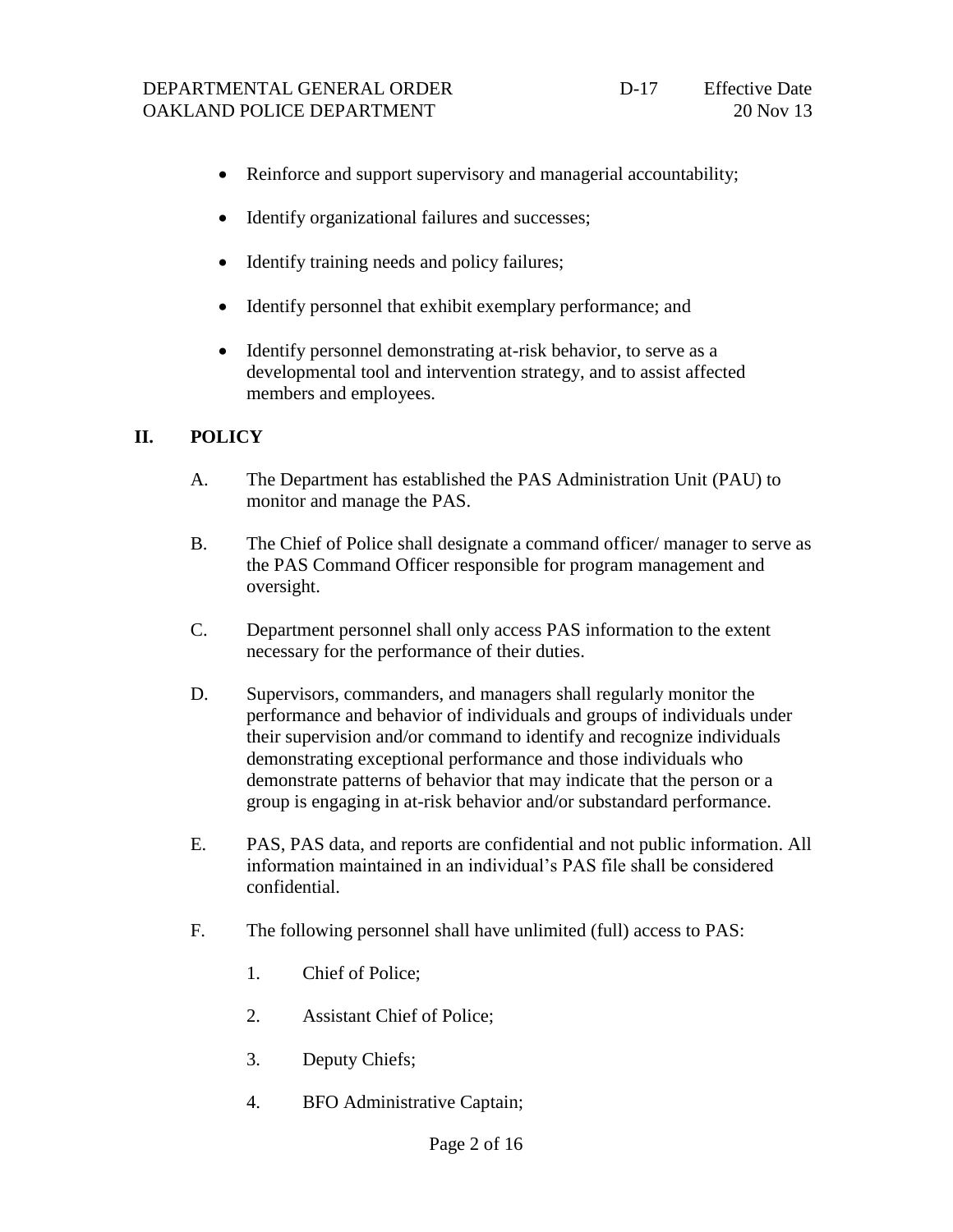- Reinforce and support supervisory and managerial accountability;
- Identify organizational failures and successes;
- Identify training needs and policy failures;
- Identify personnel that exhibit exemplary performance; and
- Identify personnel demonstrating at-risk behavior, to serve as a developmental tool and intervention strategy, and to assist affected members and employees.

### **II. POLICY**

- A. The Department has established the PAS Administration Unit (PAU) to monitor and manage the PAS.
- B. The Chief of Police shall designate a command officer/ manager to serve as the PAS Command Officer responsible for program management and oversight.
- C. Department personnel shall only access PAS information to the extent necessary for the performance of their duties.
- D. Supervisors, commanders, and managers shall regularly monitor the performance and behavior of individuals and groups of individuals under their supervision and/or command to identify and recognize individuals demonstrating exceptional performance and those individuals who demonstrate patterns of behavior that may indicate that the person or a group is engaging in at-risk behavior and/or substandard performance.
- E. PAS, PAS data, and reports are confidential and not public information. All information maintained in an individual's PAS file shall be considered confidential.
- F. The following personnel shall have unlimited (full) access to PAS:
	- 1. Chief of Police;
	- 2. Assistant Chief of Police;
	- 3. Deputy Chiefs;
	- 4. BFO Administrative Captain;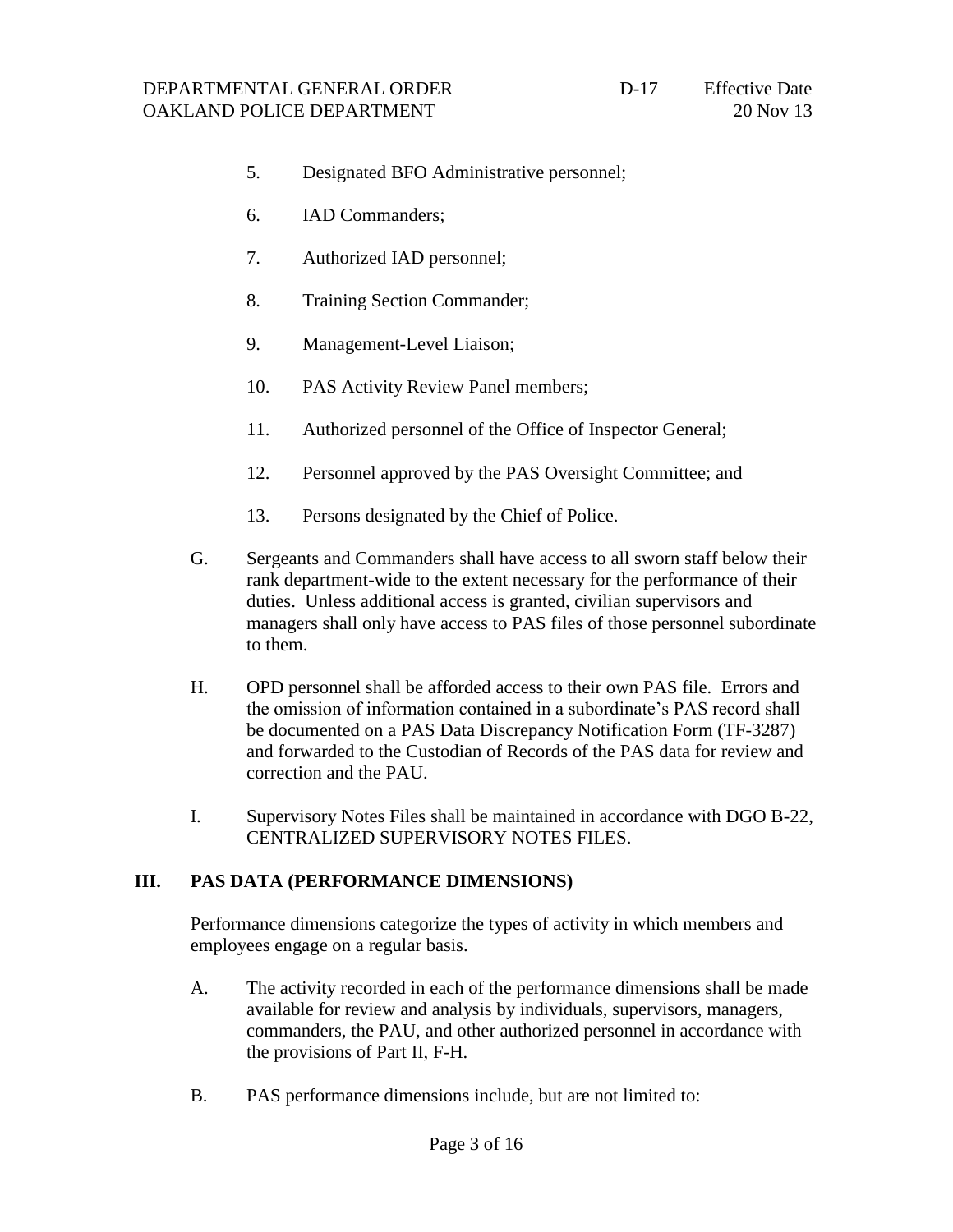- 5. Designated BFO Administrative personnel;
- 6. IAD Commanders;
- 7. Authorized IAD personnel;
- 8. Training Section Commander;
- 9. Management-Level Liaison;
- 10. PAS Activity Review Panel members;
- 11. Authorized personnel of the Office of Inspector General;
- 12. Personnel approved by the PAS Oversight Committee; and
- 13. Persons designated by the Chief of Police.
- G. Sergeants and Commanders shall have access to all sworn staff below their rank department-wide to the extent necessary for the performance of their duties. Unless additional access is granted, civilian supervisors and managers shall only have access to PAS files of those personnel subordinate to them.
- H. OPD personnel shall be afforded access to their own PAS file. Errors and the omission of information contained in a subordinate's PAS record shall be documented on a PAS Data Discrepancy Notification Form (TF-3287) and forwarded to the Custodian of Records of the PAS data for review and correction and the PAU.
- I. Supervisory Notes Files shall be maintained in accordance with DGO B-22, CENTRALIZED SUPERVISORY NOTES FILES.

#### **III. PAS DATA (PERFORMANCE DIMENSIONS)**

Performance dimensions categorize the types of activity in which members and employees engage on a regular basis.

- A. The activity recorded in each of the performance dimensions shall be made available for review and analysis by individuals, supervisors, managers, commanders, the PAU, and other authorized personnel in accordance with the provisions of Part II, F-H.
- B. PAS performance dimensions include, but are not limited to: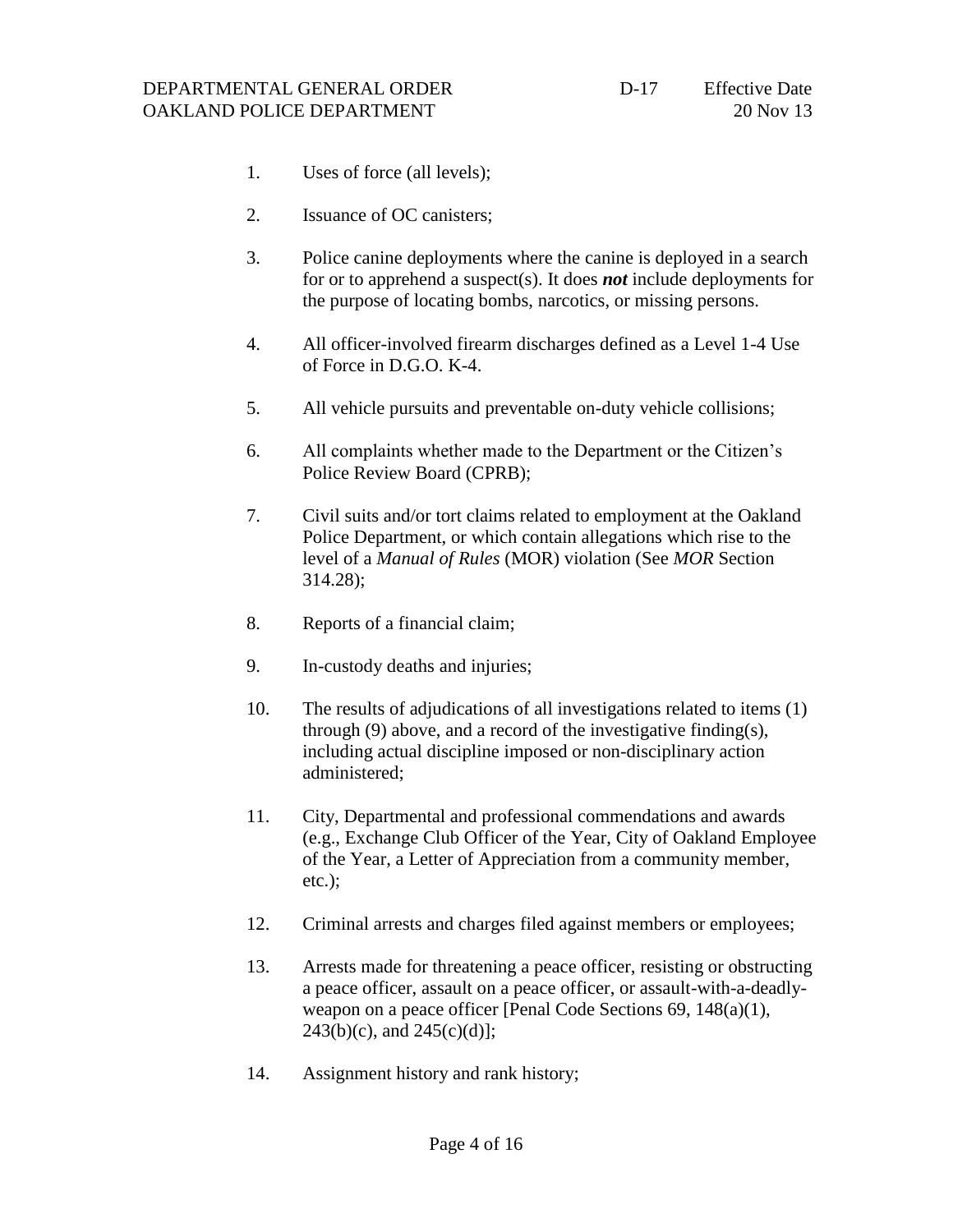- 1. Uses of force (all levels);
- 2. Issuance of OC canisters;
- 3. Police canine deployments where the canine is deployed in a search for or to apprehend a suspect(s). It does *not* include deployments for the purpose of locating bombs, narcotics, or missing persons.
- 4. All officer-involved firearm discharges defined as a Level 1-4 Use of Force in D.G.O. K-4.
- 5. All vehicle pursuits and preventable on-duty vehicle collisions;
- 6. All complaints whether made to the Department or the Citizen's Police Review Board (CPRB);
- 7. Civil suits and/or tort claims related to employment at the Oakland Police Department, or which contain allegations which rise to the level of a *Manual of Rules* (MOR) violation (See *MOR* Section 314.28);
- 8. Reports of a financial claim;
- 9. In-custody deaths and injuries;
- 10. The results of adjudications of all investigations related to items (1) through (9) above, and a record of the investigative finding(s), including actual discipline imposed or non-disciplinary action administered;
- 11. City, Departmental and professional commendations and awards (e.g., Exchange Club Officer of the Year, City of Oakland Employee of the Year, a Letter of Appreciation from a community member, etc.);
- 12. Criminal arrests and charges filed against members or employees;
- 13. Arrests made for threatening a peace officer, resisting or obstructing a peace officer, assault on a peace officer, or assault-with-a-deadlyweapon on a peace officer [Penal Code Sections 69, 148(a)(1),  $243(b)(c)$ , and  $245(c)(d)$ ];
- 14. Assignment history and rank history;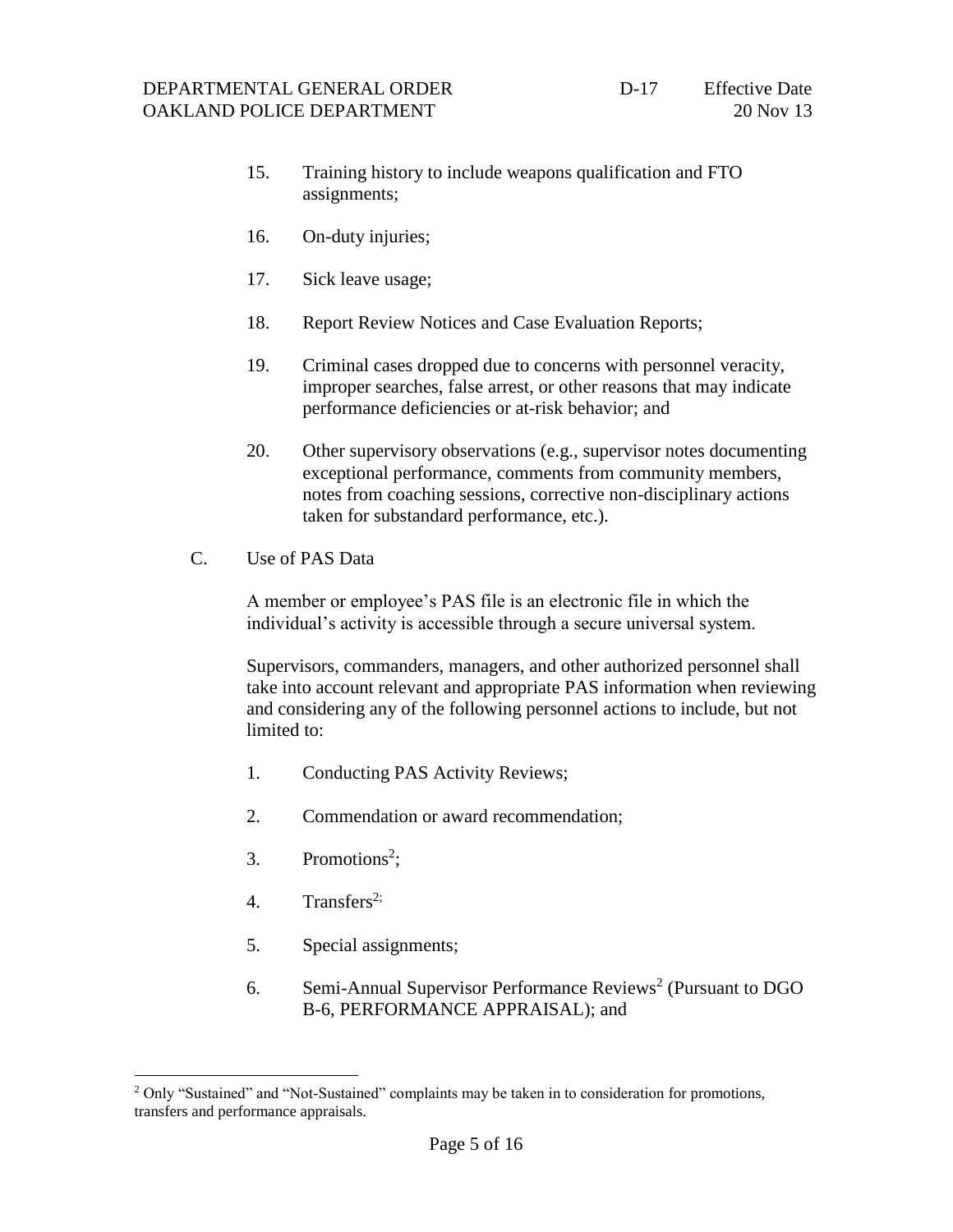- 15. Training history to include weapons qualification and FTO assignments;
- 16. On-duty injuries;
- 17. Sick leave usage;
- 18. Report Review Notices and Case Evaluation Reports;
- 19. Criminal cases dropped due to concerns with personnel veracity, improper searches, false arrest, or other reasons that may indicate performance deficiencies or at-risk behavior; and
- 20. Other supervisory observations (e.g., supervisor notes documenting exceptional performance, comments from community members, notes from coaching sessions, corrective non-disciplinary actions taken for substandard performance, etc.).
- C. Use of PAS Data

A member or employee's PAS file is an electronic file in which the individual's activity is accessible through a secure universal system.

Supervisors, commanders, managers, and other authorized personnel shall take into account relevant and appropriate PAS information when reviewing and considering any of the following personnel actions to include, but not limited to:

- 1. Conducting PAS Activity Reviews;
- 2. Commendation or award recommendation;
- <span id="page-4-0"></span>3. Promotions<sup>2</sup>;
- 4. Transfers<sup>[2;](#page-4-0)</sup>

 $\overline{a}$ 

- 5. Special assignments;
- 6. Semi-Annual Supervisor Performance Reviews<sup>[2](#page-4-0)</sup> (Pursuant to DGO B-6, PERFORMANCE APPRAISAL); and

<sup>&</sup>lt;sup>2</sup> Only "Sustained" and "Not-Sustained" complaints may be taken in to consideration for promotions, transfers and performance appraisals.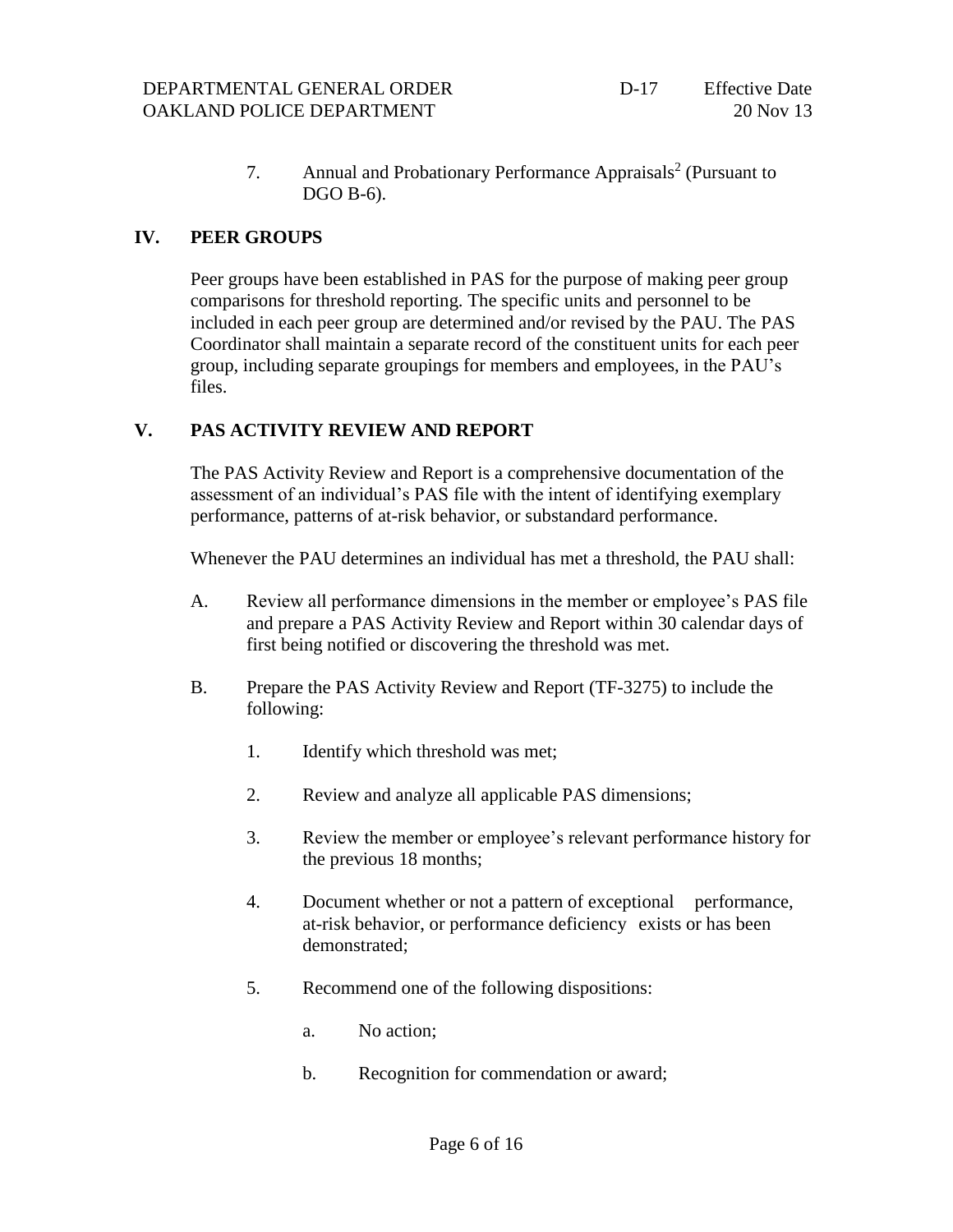7. Annual and Probationary Performance Appraisals<sup>[2](#page-4-0)</sup> (Pursuant to DGO B-6).

### **IV. PEER GROUPS**

Peer groups have been established in PAS for the purpose of making peer group comparisons for threshold reporting. The specific units and personnel to be included in each peer group are determined and/or revised by the PAU. The PAS Coordinator shall maintain a separate record of the constituent units for each peer group, including separate groupings for members and employees, in the PAU's files.

### **V. PAS ACTIVITY REVIEW AND REPORT**

The PAS Activity Review and Report is a comprehensive documentation of the assessment of an individual's PAS file with the intent of identifying exemplary performance, patterns of at-risk behavior, or substandard performance.

Whenever the PAU determines an individual has met a threshold, the PAU shall:

- A. Review all performance dimensions in the member or employee's PAS file and prepare a PAS Activity Review and Report within 30 calendar days of first being notified or discovering the threshold was met.
- B. Prepare the PAS Activity Review and Report (TF-3275) to include the following:
	- 1. Identify which threshold was met;
	- 2. Review and analyze all applicable PAS dimensions;
	- 3. Review the member or employee's relevant performance history for the previous 18 months;
	- 4. Document whether or not a pattern of exceptional performance, at-risk behavior, or performance deficiency exists or has been demonstrated;
	- 5. Recommend one of the following dispositions:
		- a. No action;
		- b. Recognition for commendation or award;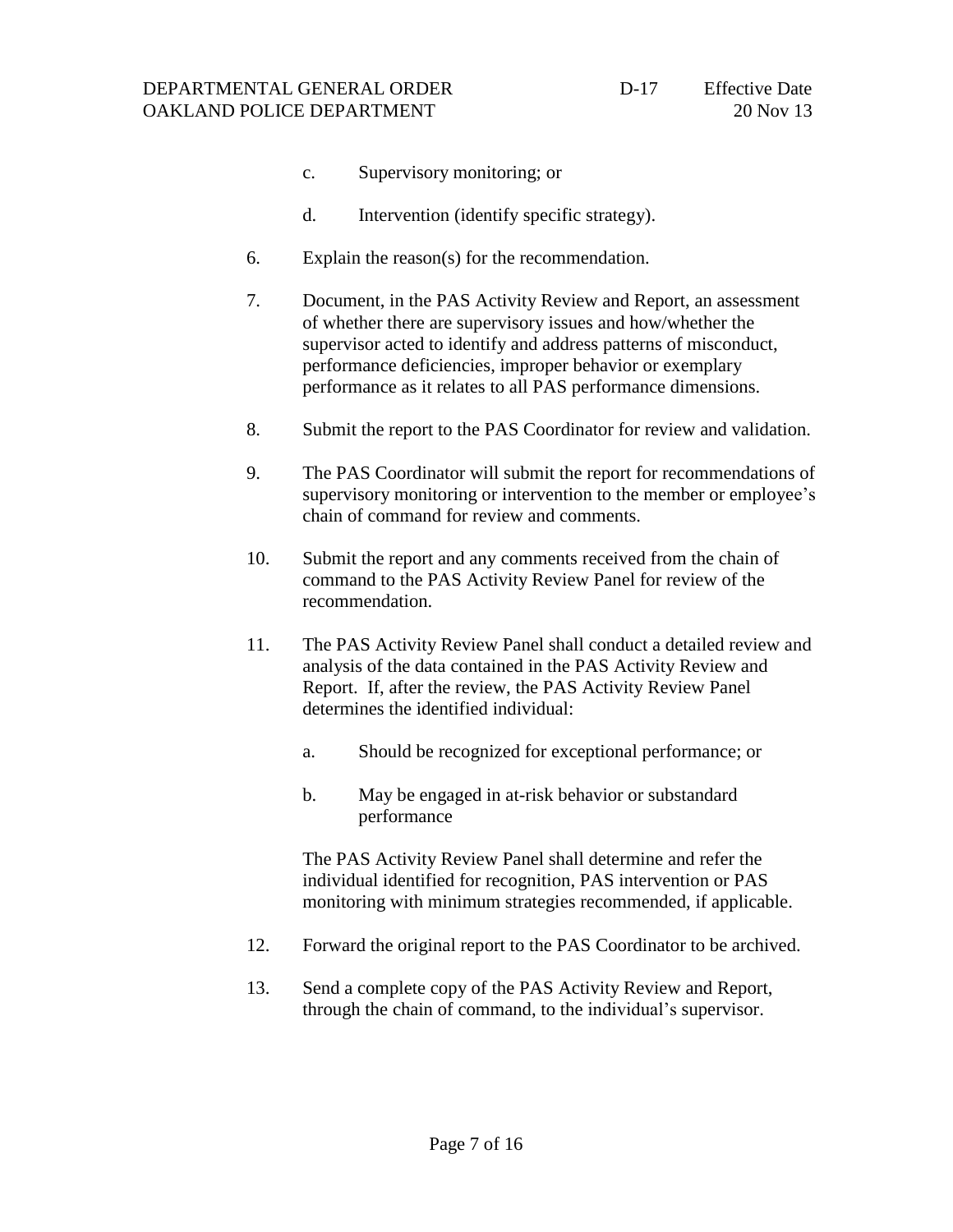#### DEPARTMENTAL GENERAL ORDER OAKLAND POLICE DEPARTMENT

- c. Supervisory monitoring; or
- d. Intervention (identify specific strategy).
- 6. Explain the reason(s) for the recommendation.
- 7. Document, in the PAS Activity Review and Report, an assessment of whether there are supervisory issues and how/whether the supervisor acted to identify and address patterns of misconduct, performance deficiencies, improper behavior or exemplary performance as it relates to all PAS performance dimensions.
- 8. Submit the report to the PAS Coordinator for review and validation.
- 9. The PAS Coordinator will submit the report for recommendations of supervisory monitoring or intervention to the member or employee's chain of command for review and comments.
- 10. Submit the report and any comments received from the chain of command to the PAS Activity Review Panel for review of the recommendation.
- 11. The PAS Activity Review Panel shall conduct a detailed review and analysis of the data contained in the PAS Activity Review and Report. If, after the review, the PAS Activity Review Panel determines the identified individual:
	- a. Should be recognized for exceptional performance; or
	- b. May be engaged in at-risk behavior or substandard performance

The PAS Activity Review Panel shall determine and refer the individual identified for recognition, PAS intervention or PAS monitoring with minimum strategies recommended, if applicable.

- 12. Forward the original report to the PAS Coordinator to be archived.
- 13. Send a complete copy of the PAS Activity Review and Report, through the chain of command, to the individual's supervisor.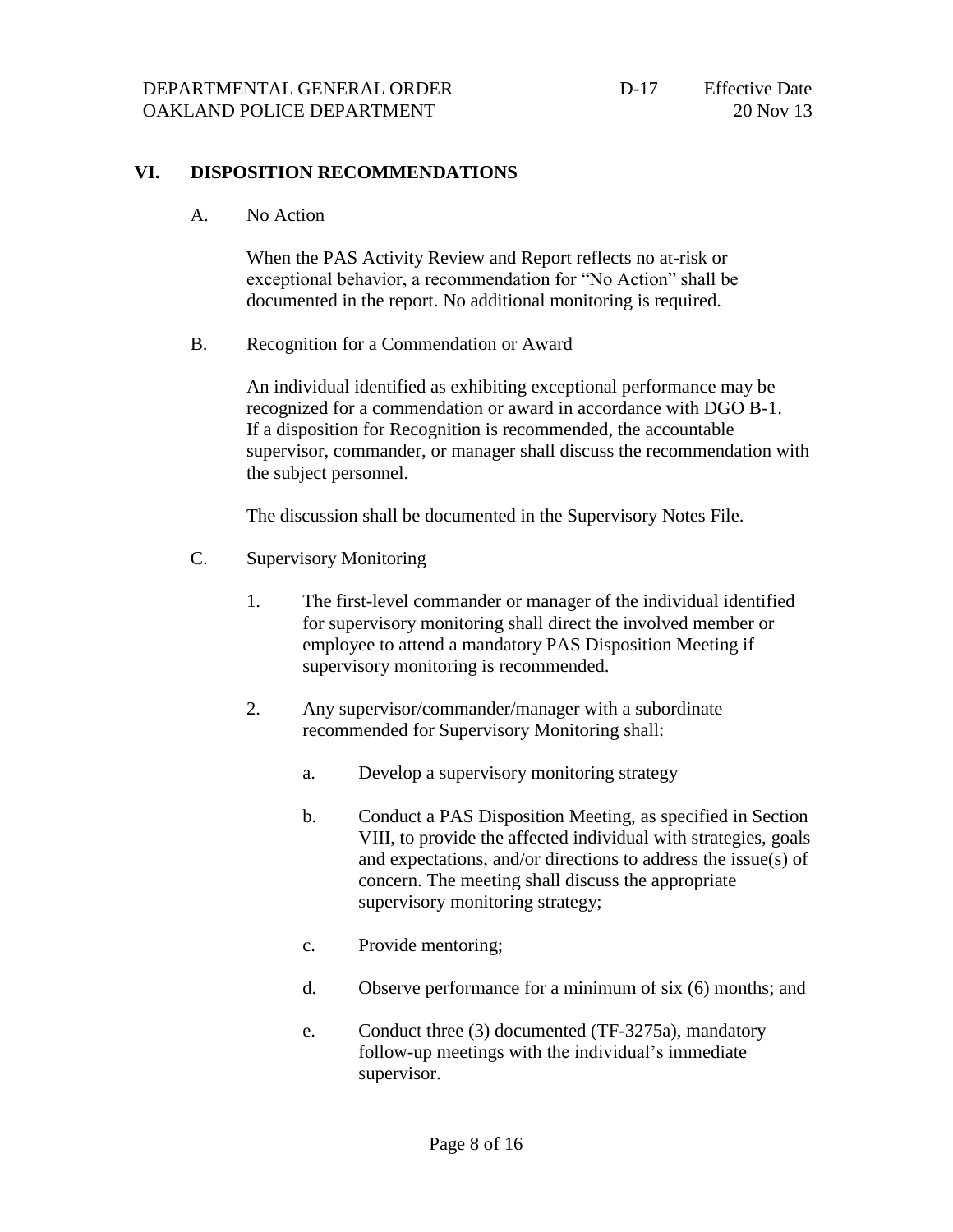#### **VI. DISPOSITION RECOMMENDATIONS**

A. No Action

When the PAS Activity Review and Report reflects no at-risk or exceptional behavior, a recommendation for "No Action" shall be documented in the report. No additional monitoring is required.

B. Recognition for a Commendation or Award

An individual identified as exhibiting exceptional performance may be recognized for a commendation or award in accordance with DGO B-1. If a disposition for Recognition is recommended, the accountable supervisor, commander, or manager shall discuss the recommendation with the subject personnel.

The discussion shall be documented in the Supervisory Notes File.

- C. Supervisory Monitoring
	- 1. The first-level commander or manager of the individual identified for supervisory monitoring shall direct the involved member or employee to attend a mandatory PAS Disposition Meeting if supervisory monitoring is recommended.
	- 2. Any supervisor/commander/manager with a subordinate recommended for Supervisory Monitoring shall:
		- a. Develop a supervisory monitoring strategy
		- b. Conduct a PAS Disposition Meeting, as specified in Section VIII, to provide the affected individual with strategies, goals and expectations, and/or directions to address the issue(s) of concern. The meeting shall discuss the appropriate supervisory monitoring strategy;
		- c. Provide mentoring;
		- d. Observe performance for a minimum of six (6) months; and
		- e. Conduct three (3) documented (TF-3275a), mandatory follow-up meetings with the individual's immediate supervisor.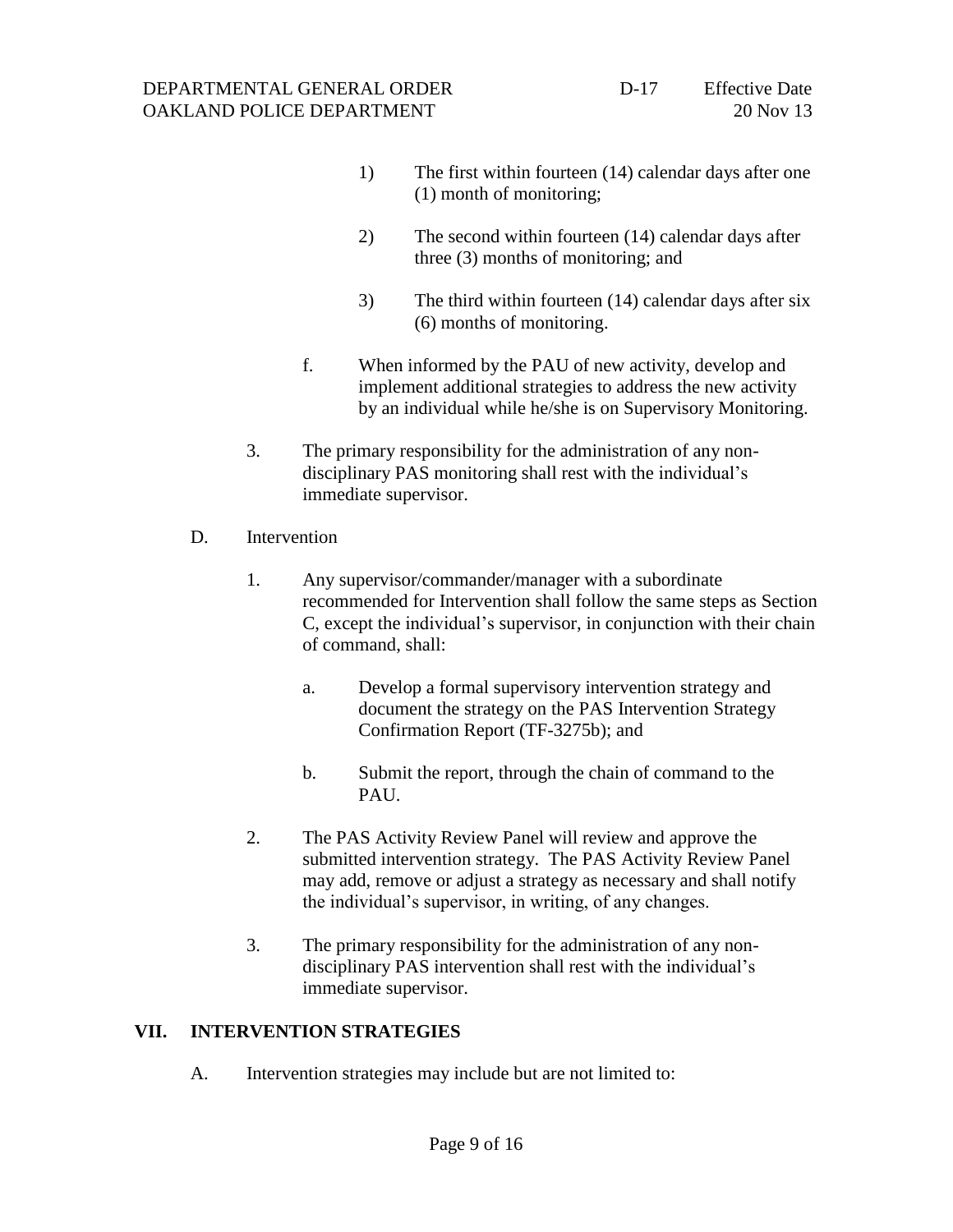- 1) The first within fourteen (14) calendar days after one (1) month of monitoring;
- 2) The second within fourteen (14) calendar days after three (3) months of monitoring; and
- 3) The third within fourteen (14) calendar days after six (6) months of monitoring.
- f. When informed by the PAU of new activity, develop and implement additional strategies to address the new activity by an individual while he/she is on Supervisory Monitoring.
- 3. The primary responsibility for the administration of any nondisciplinary PAS monitoring shall rest with the individual's immediate supervisor.
- D. Intervention
	- 1. Any supervisor/commander/manager with a subordinate recommended for Intervention shall follow the same steps as Section C, except the individual's supervisor, in conjunction with their chain of command, shall:
		- a. Develop a formal supervisory intervention strategy and document the strategy on the PAS Intervention Strategy Confirmation Report (TF-3275b); and
		- b. Submit the report, through the chain of command to the PAU.
	- 2. The PAS Activity Review Panel will review and approve the submitted intervention strategy. The PAS Activity Review Panel may add, remove or adjust a strategy as necessary and shall notify the individual's supervisor, in writing, of any changes.
	- 3. The primary responsibility for the administration of any nondisciplinary PAS intervention shall rest with the individual's immediate supervisor.

### **VII. INTERVENTION STRATEGIES**

A. Intervention strategies may include but are not limited to: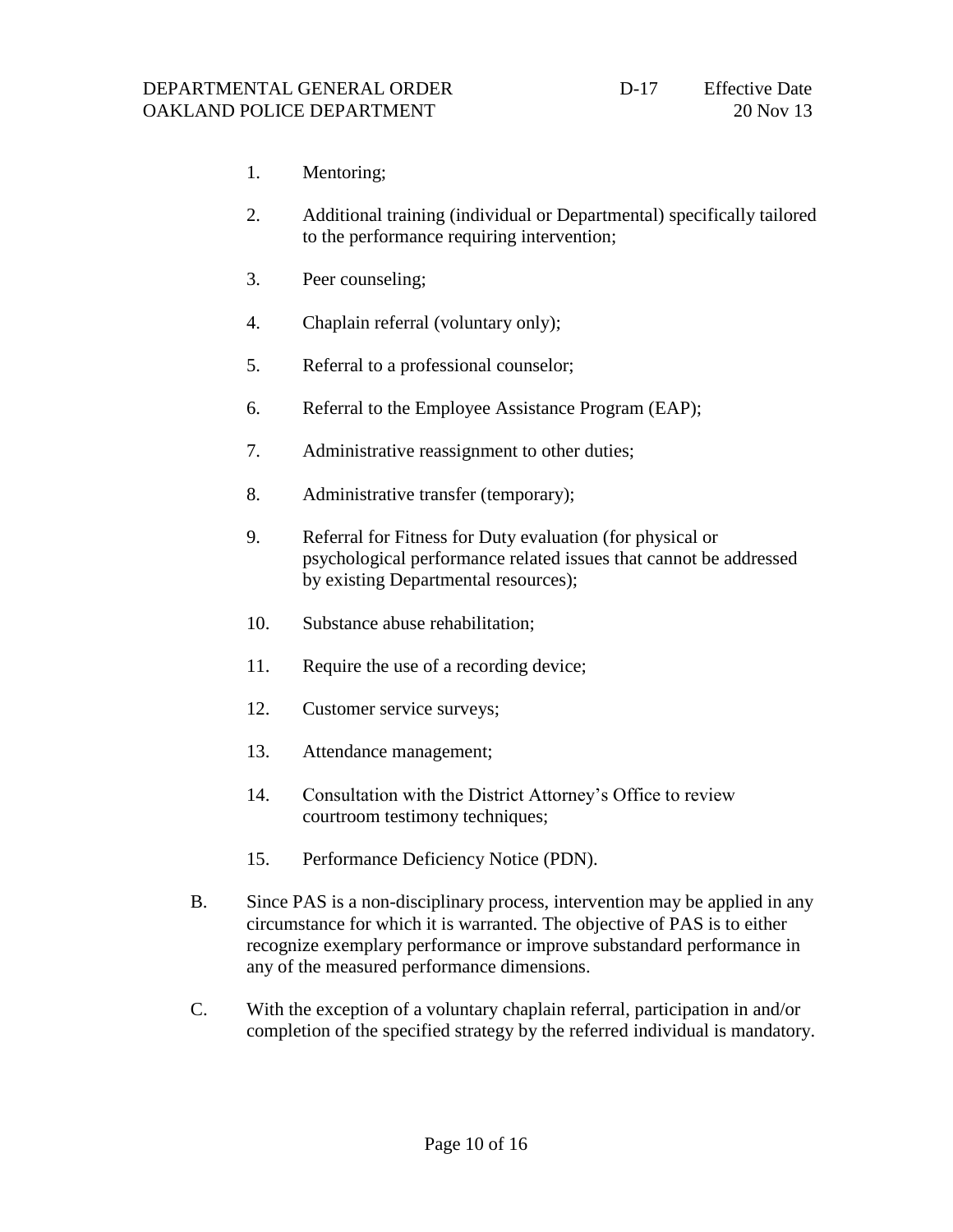- 1. Mentoring;
- 2. Additional training (individual or Departmental) specifically tailored to the performance requiring intervention;
- 3. Peer counseling;
- 4. Chaplain referral (voluntary only);
- 5. Referral to a professional counselor;
- 6. Referral to the Employee Assistance Program (EAP);
- 7. Administrative reassignment to other duties;
- 8. Administrative transfer (temporary);
- 9. Referral for Fitness for Duty evaluation (for physical or psychological performance related issues that cannot be addressed by existing Departmental resources);
- 10. Substance abuse rehabilitation;
- 11. Require the use of a recording device;
- 12. Customer service surveys;
- 13. Attendance management;
- 14. Consultation with the District Attorney's Office to review courtroom testimony techniques;
- 15. Performance Deficiency Notice (PDN).
- B. Since PAS is a non-disciplinary process, intervention may be applied in any circumstance for which it is warranted. The objective of PAS is to either recognize exemplary performance or improve substandard performance in any of the measured performance dimensions.
- C. With the exception of a voluntary chaplain referral, participation in and/or completion of the specified strategy by the referred individual is mandatory.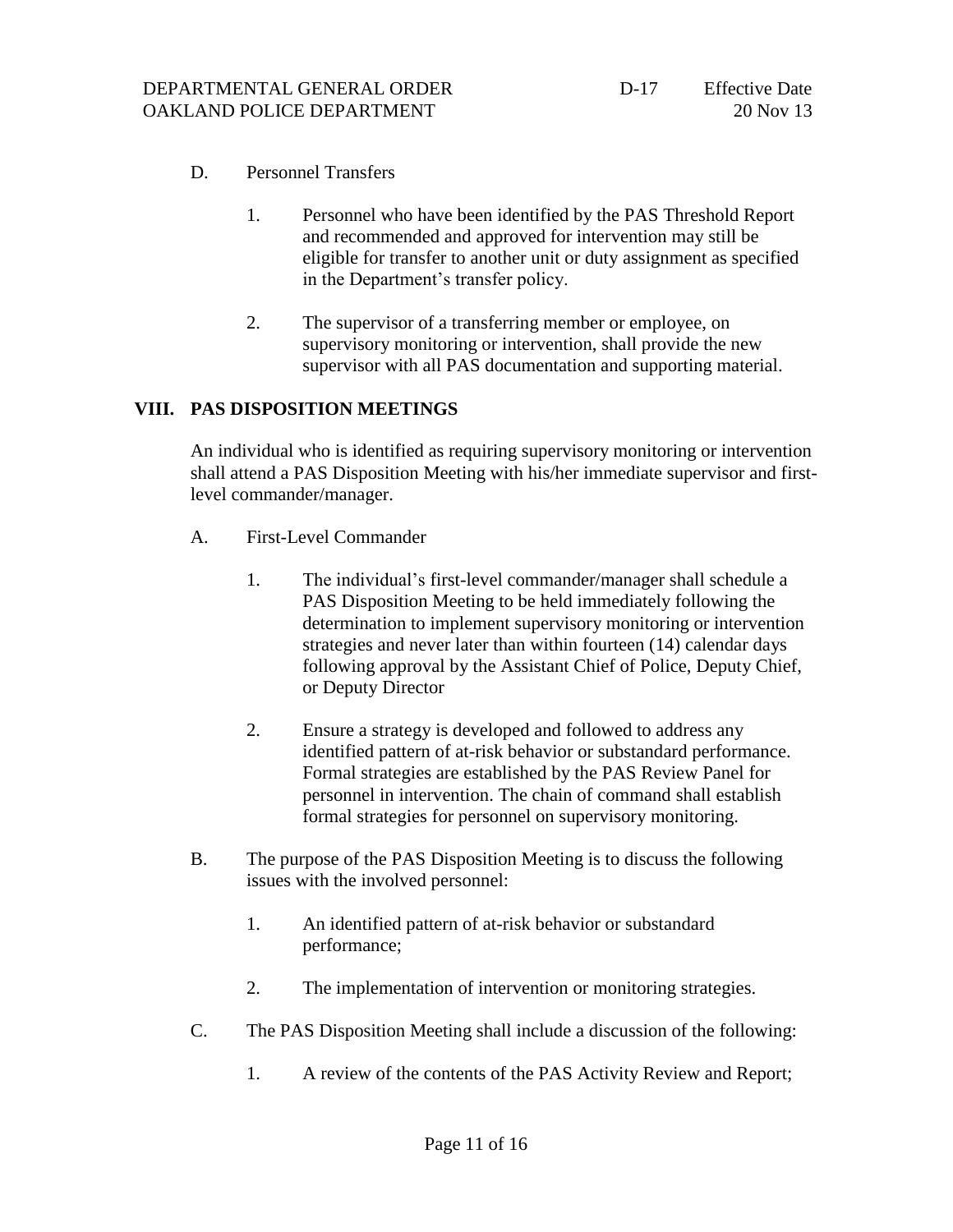- D. Personnel Transfers
	- 1. Personnel who have been identified by the PAS Threshold Report and recommended and approved for intervention may still be eligible for transfer to another unit or duty assignment as specified in the Department's transfer policy.
	- 2. The supervisor of a transferring member or employee, on supervisory monitoring or intervention, shall provide the new supervisor with all PAS documentation and supporting material.

#### **VIII. PAS DISPOSITION MEETINGS**

An individual who is identified as requiring supervisory monitoring or intervention shall attend a PAS Disposition Meeting with his/her immediate supervisor and firstlevel commander/manager.

- A. First-Level Commander
	- 1. The individual's first-level commander/manager shall schedule a PAS Disposition Meeting to be held immediately following the determination to implement supervisory monitoring or intervention strategies and never later than within fourteen (14) calendar days following approval by the Assistant Chief of Police, Deputy Chief, or Deputy Director
	- 2. Ensure a strategy is developed and followed to address any identified pattern of at-risk behavior or substandard performance. Formal strategies are established by the PAS Review Panel for personnel in intervention. The chain of command shall establish formal strategies for personnel on supervisory monitoring.
- B. The purpose of the PAS Disposition Meeting is to discuss the following issues with the involved personnel:
	- 1. An identified pattern of at-risk behavior or substandard performance;
	- 2. The implementation of intervention or monitoring strategies.
- C. The PAS Disposition Meeting shall include a discussion of the following:
	- 1. A review of the contents of the PAS Activity Review and Report;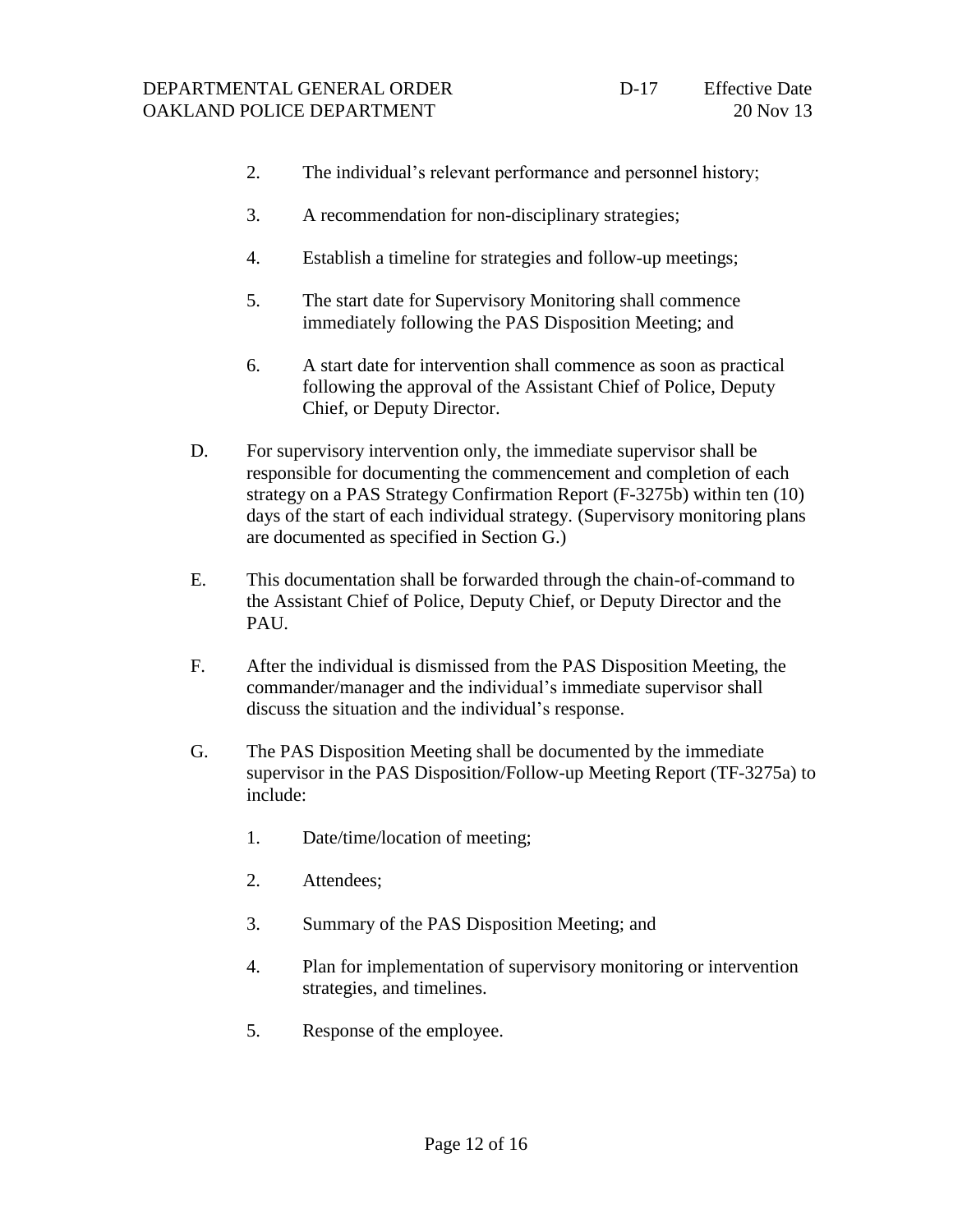- 2. The individual's relevant performance and personnel history;
- 3. A recommendation for non-disciplinary strategies;
- 4. Establish a timeline for strategies and follow-up meetings;
- 5. The start date for Supervisory Monitoring shall commence immediately following the PAS Disposition Meeting; and
- 6. A start date for intervention shall commence as soon as practical following the approval of the Assistant Chief of Police, Deputy Chief, or Deputy Director.
- D. For supervisory intervention only, the immediate supervisor shall be responsible for documenting the commencement and completion of each strategy on a PAS Strategy Confirmation Report (F-3275b) within ten (10) days of the start of each individual strategy. (Supervisory monitoring plans are documented as specified in Section G.)
- E. This documentation shall be forwarded through the chain-of-command to the Assistant Chief of Police, Deputy Chief, or Deputy Director and the PAU.
- F. After the individual is dismissed from the PAS Disposition Meeting, the commander/manager and the individual's immediate supervisor shall discuss the situation and the individual's response.
- G. The PAS Disposition Meeting shall be documented by the immediate supervisor in the PAS Disposition/Follow-up Meeting Report (TF-3275a) to include:
	- 1. Date/time/location of meeting;
	- 2. Attendees;
	- 3. Summary of the PAS Disposition Meeting; and
	- 4. Plan for implementation of supervisory monitoring or intervention strategies, and timelines.
	- 5. Response of the employee.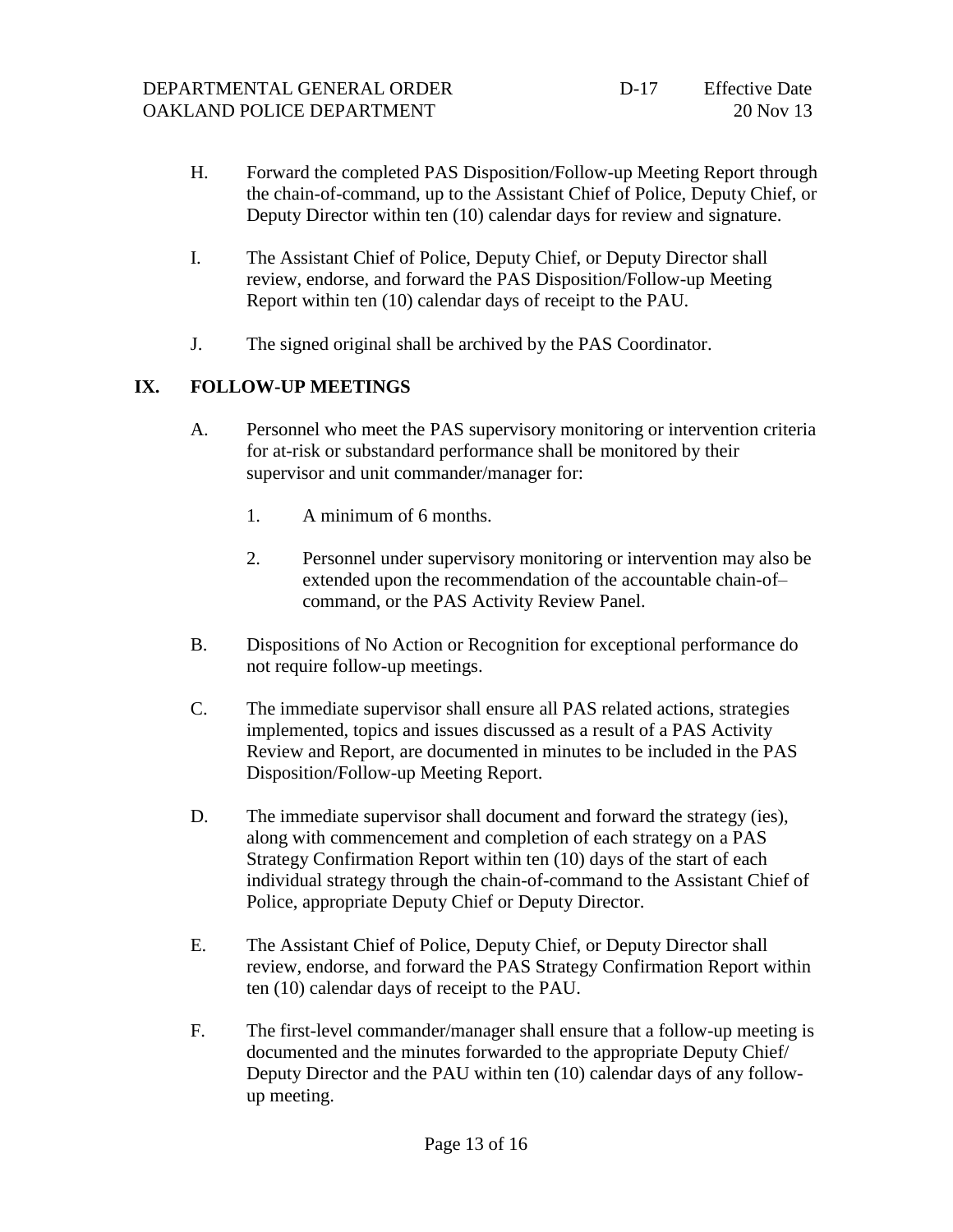- H. Forward the completed PAS Disposition/Follow-up Meeting Report through the chain-of-command, up to the Assistant Chief of Police, Deputy Chief, or Deputy Director within ten (10) calendar days for review and signature.
- I. The Assistant Chief of Police, Deputy Chief, or Deputy Director shall review, endorse, and forward the PAS Disposition/Follow-up Meeting Report within ten (10) calendar days of receipt to the PAU.
- J. The signed original shall be archived by the PAS Coordinator.

# **IX. FOLLOW-UP MEETINGS**

- A. Personnel who meet the PAS supervisory monitoring or intervention criteria for at-risk or substandard performance shall be monitored by their supervisor and unit commander/manager for:
	- 1. A minimum of 6 months.
	- 2. Personnel under supervisory monitoring or intervention may also be extended upon the recommendation of the accountable chain-of– command, or the PAS Activity Review Panel.
- B. Dispositions of No Action or Recognition for exceptional performance do not require follow-up meetings.
- C. The immediate supervisor shall ensure all PAS related actions, strategies implemented, topics and issues discussed as a result of a PAS Activity Review and Report, are documented in minutes to be included in the PAS Disposition/Follow-up Meeting Report.
- D. The immediate supervisor shall document and forward the strategy (ies), along with commencement and completion of each strategy on a PAS Strategy Confirmation Report within ten (10) days of the start of each individual strategy through the chain-of-command to the Assistant Chief of Police, appropriate Deputy Chief or Deputy Director.
- E. The Assistant Chief of Police, Deputy Chief, or Deputy Director shall review, endorse, and forward the PAS Strategy Confirmation Report within ten (10) calendar days of receipt to the PAU.
- F. The first-level commander/manager shall ensure that a follow-up meeting is documented and the minutes forwarded to the appropriate Deputy Chief/ Deputy Director and the PAU within ten (10) calendar days of any followup meeting.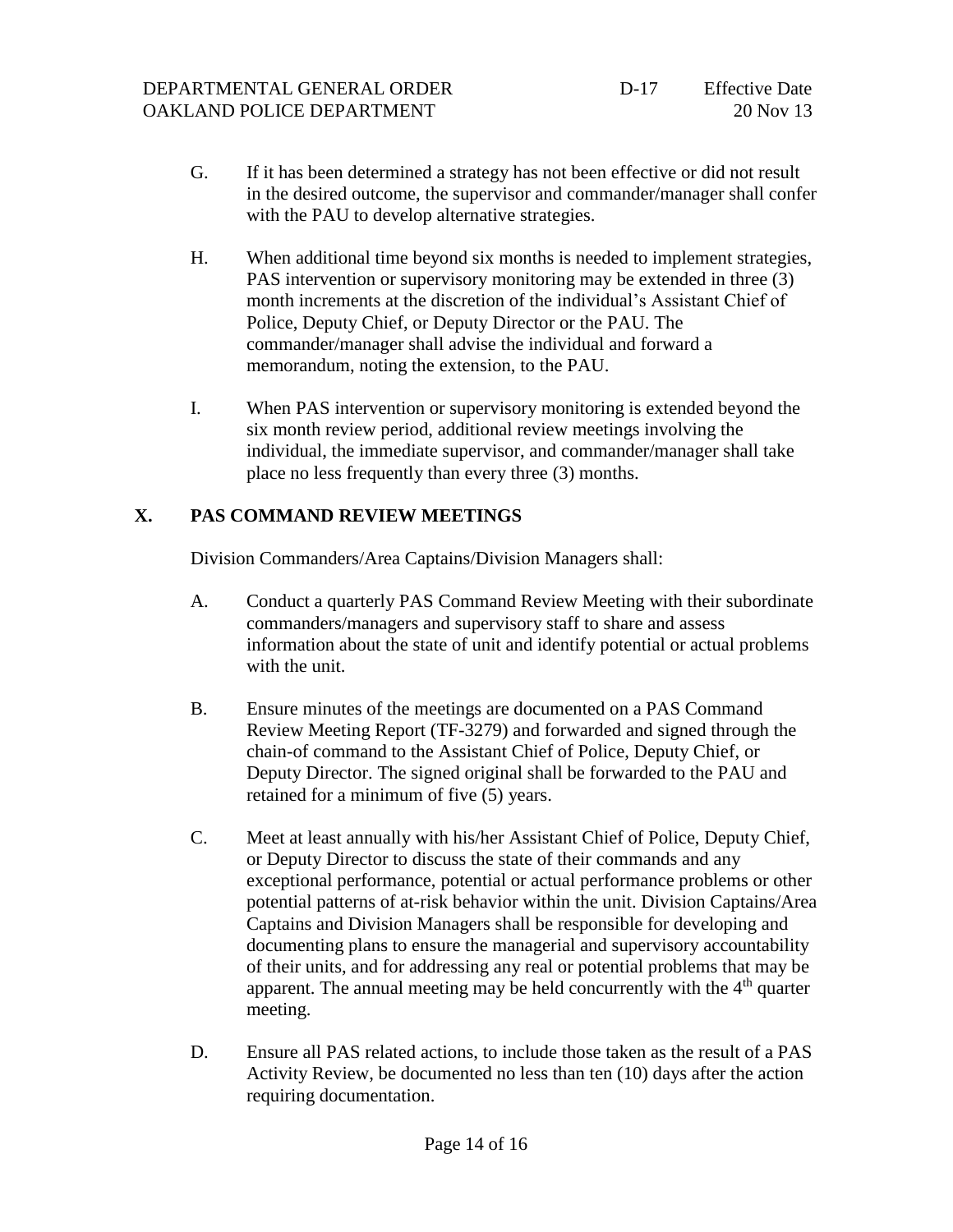- G. If it has been determined a strategy has not been effective or did not result in the desired outcome, the supervisor and commander/manager shall confer with the PAU to develop alternative strategies.
- H. When additional time beyond six months is needed to implement strategies, PAS intervention or supervisory monitoring may be extended in three (3) month increments at the discretion of the individual's Assistant Chief of Police, Deputy Chief, or Deputy Director or the PAU. The commander/manager shall advise the individual and forward a memorandum, noting the extension, to the PAU.
- I. When PAS intervention or supervisory monitoring is extended beyond the six month review period, additional review meetings involving the individual, the immediate supervisor, and commander/manager shall take place no less frequently than every three (3) months.

### **X. PAS COMMAND REVIEW MEETINGS**

Division Commanders/Area Captains/Division Managers shall:

- A. Conduct a quarterly PAS Command Review Meeting with their subordinate commanders/managers and supervisory staff to share and assess information about the state of unit and identify potential or actual problems with the unit.
- B. Ensure minutes of the meetings are documented on a PAS Command Review Meeting Report (TF-3279) and forwarded and signed through the chain-of command to the Assistant Chief of Police, Deputy Chief, or Deputy Director. The signed original shall be forwarded to the PAU and retained for a minimum of five (5) years.
- C. Meet at least annually with his/her Assistant Chief of Police, Deputy Chief, or Deputy Director to discuss the state of their commands and any exceptional performance, potential or actual performance problems or other potential patterns of at-risk behavior within the unit. Division Captains/Area Captains and Division Managers shall be responsible for developing and documenting plans to ensure the managerial and supervisory accountability of their units, and for addressing any real or potential problems that may be apparent. The annual meeting may be held concurrently with the  $4<sup>th</sup>$  quarter meeting.
- D. Ensure all PAS related actions, to include those taken as the result of a PAS Activity Review, be documented no less than ten (10) days after the action requiring documentation.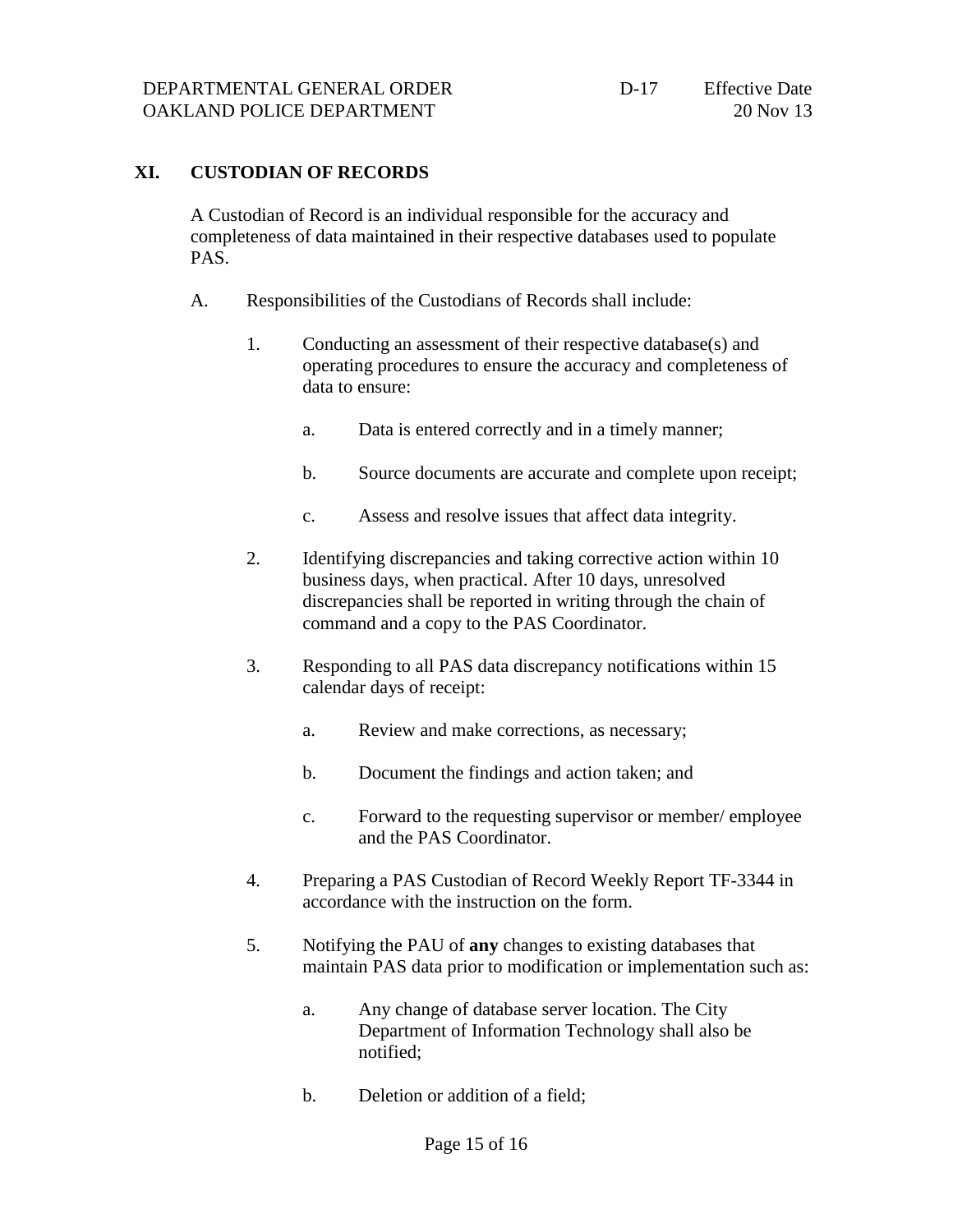### **XI. CUSTODIAN OF RECORDS**

A Custodian of Record is an individual responsible for the accuracy and completeness of data maintained in their respective databases used to populate PAS.

- A. Responsibilities of the Custodians of Records shall include:
	- 1. Conducting an assessment of their respective database(s) and operating procedures to ensure the accuracy and completeness of data to ensure:
		- a. Data is entered correctly and in a timely manner;
		- b. Source documents are accurate and complete upon receipt;
		- c. Assess and resolve issues that affect data integrity.
	- 2. Identifying discrepancies and taking corrective action within 10 business days, when practical. After 10 days, unresolved discrepancies shall be reported in writing through the chain of command and a copy to the PAS Coordinator.
	- 3. Responding to all PAS data discrepancy notifications within 15 calendar days of receipt:
		- a. Review and make corrections, as necessary;
		- b. Document the findings and action taken; and
		- c. Forward to the requesting supervisor or member/ employee and the PAS Coordinator.
	- 4. Preparing a PAS Custodian of Record Weekly Report TF-3344 in accordance with the instruction on the form.
	- 5. Notifying the PAU of **any** changes to existing databases that maintain PAS data prior to modification or implementation such as:
		- a. Any change of database server location. The City Department of Information Technology shall also be notified;
		- b. Deletion or addition of a field;